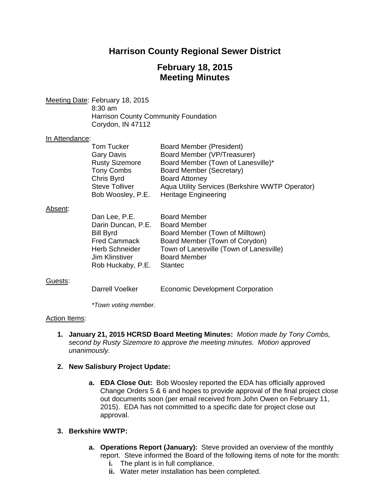# **Harrison County Regional Sewer District**

# **February 18, 2015 Meeting Minutes**

Meeting Date: February 18, 2015 8:30 am Harrison County Community Foundation Corydon, IN 47112

## In Attendance:

| Tom Tucker            | Board Member (President)                        |
|-----------------------|-------------------------------------------------|
| <b>Gary Davis</b>     | Board Member (VP/Treasurer)                     |
| <b>Rusty Sizemore</b> | Board Member (Town of Lanesville)*              |
| <b>Tony Combs</b>     | Board Member (Secretary)                        |
| Chris Byrd            | <b>Board Attorney</b>                           |
| <b>Steve Tolliver</b> | Aqua Utility Services (Berkshire WWTP Operator) |
| Bob Woosley, P.E.     | <b>Heritage Engineering</b>                     |

#### Absent:

| <b>Board Member</b>                     |
|-----------------------------------------|
| <b>Board Member</b>                     |
| Board Member (Town of Milltown)         |
| Board Member (Town of Corydon)          |
| Town of Lanesville (Town of Lanesville) |
| <b>Board Member</b>                     |
| <b>Stantec</b>                          |
|                                         |

## Guests:

Darrell Voelker Economic Development Corporation

 *\*Town voting member.* 

## Action Items:

**1. January 21, 2015 HCRSD Board Meeting Minutes:** *Motion made by Tony Combs, second by Rusty Sizemore to approve the meeting minutes. Motion approved unanimously.*

## **2. New Salisbury Project Update:**

**a. EDA Close Out:** Bob Woosley reported the EDA has officially approved Change Orders 5 & 6 and hopes to provide approval of the final project close out documents soon (per email received from John Owen on February 11, 2015). EDA has not committed to a specific date for project close out approval.

## **3. Berkshire WWTP:**

- **a. Operations Report (January):** Steve provided an overview of the monthly report. Steve informed the Board of the following items of note for the month:
	- **i.** The plant is in full compliance.
	- **ii.** Water meter installation has been completed.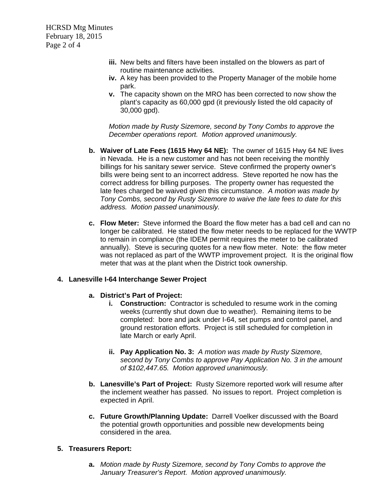HCRSD Mtg Minutes February 18, 2015 Page 2 of 4

- **iii.** New belts and filters have been installed on the blowers as part of routine maintenance activities.
- **iv.** A key has been provided to the Property Manager of the mobile home park.
- **v.** The capacity shown on the MRO has been corrected to now show the plant's capacity as 60,000 gpd (it previously listed the old capacity of 30,000 gpd).

*Motion made by Rusty Sizemore, second by Tony Combs to approve the December operations report. Motion approved unanimously.*

- **b. Waiver of Late Fees (1615 Hwy 64 NE):** The owner of 1615 Hwy 64 NE lives in Nevada. He is a new customer and has not been receiving the monthly billings for his sanitary sewer service. Steve confirmed the property owner's bills were being sent to an incorrect address. Steve reported he now has the correct address for billing purposes. The property owner has requested the late fees charged be waived given this circumstance. *A motion was made by Tony Combs, second by Rusty Sizemore to waive the late fees to date for this address. Motion passed unanimously.*
- **c. Flow Meter:** Steve informed the Board the flow meter has a bad cell and can no longer be calibrated. He stated the flow meter needs to be replaced for the WWTP to remain in compliance (the IDEM permit requires the meter to be calibrated annually). Steve is securing quotes for a new flow meter. Note: the flow meter was not replaced as part of the WWTP improvement project. It is the original flow meter that was at the plant when the District took ownership.

## **4. Lanesville I-64 Interchange Sewer Project**

## **a. District's Part of Project:**

- **i.** Construction: Contractor is scheduled to resume work in the coming weeks (currently shut down due to weather). Remaining items to be completed: bore and jack under I-64, set pumps and control panel, and ground restoration efforts. Project is still scheduled for completion in late March or early April.
- **ii. Pay Application No. 3:** *A motion was made by Rusty Sizemore, second by Tony Combs to approve Pay Application No. 3 in the amount of \$102,447.65. Motion approved unanimously.*
- **b. Lanesville's Part of Project:** Rusty Sizemore reported work will resume after the inclement weather has passed. No issues to report. Project completion is expected in April.
- **c. Future Growth/Planning Update:** Darrell Voelker discussed with the Board the potential growth opportunities and possible new developments being considered in the area.

## **5. Treasurers Report:**

**a.** *Motion made by Rusty Sizemore, second by Tony Combs to approve the January Treasurer's Report. Motion approved unanimously.*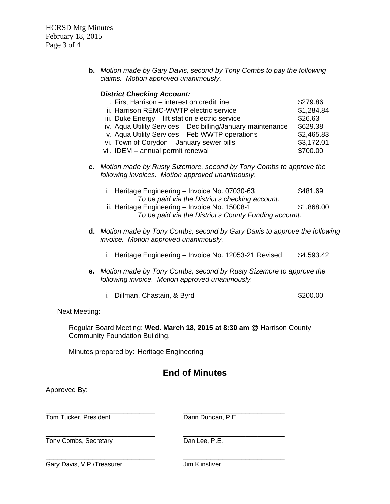HCRSD Mtg Minutes February 18, 2015 Page 3 of 4

> **b.** *Motion made by Gary Davis, second by Tony Combs to pay the following claims. Motion approved unanimously.*

|                                                       | <b>District Checking Account:</b>                                                                                         |            |
|-------------------------------------------------------|---------------------------------------------------------------------------------------------------------------------------|------------|
|                                                       | i. First Harrison – interest on credit line                                                                               | \$279.86   |
|                                                       | ii. Harrison REMC-WWTP electric service                                                                                   | \$1,284.84 |
|                                                       | iii. Duke Energy – lift station electric service                                                                          | \$26.63    |
|                                                       | iv. Aqua Utility Services - Dec billing/January maintenance                                                               | \$629.38   |
|                                                       | v. Aqua Utility Services - Feb WWTP operations                                                                            | \$2,465.83 |
|                                                       | vi. Town of Corydon - January sewer bills                                                                                 | \$3,172.01 |
|                                                       | vii. IDEM - annual permit renewal                                                                                         | \$700.00   |
|                                                       | c. Motion made by Rusty Sizemore, second by Tony Combs to approve the<br>following invoices. Motion approved unanimously. |            |
|                                                       | i. Heritage Engineering - Invoice No. 07030-63<br>To be paid via the District's checking account.                         | \$481.69   |
|                                                       | ii. Heritage Engineering - Invoice No. 15008-1                                                                            | \$1,868.00 |
| To be paid via the District's County Funding account. |                                                                                                                           |            |

- **d.** *Motion made by Tony Combs, second by Gary Davis to approve the following invoice. Motion approved unanimously.* 
	- i. Heritage Engineering Invoice No. 12053-21 Revised \$4,593.42
- **e.** *Motion made by Tony Combs, second by Rusty Sizemore to approve the following invoice. Motion approved unanimously.* 
	- i. Dillman, Chastain, & Byrd \$200.00

## Next Meeting:

Regular Board Meeting: **Wed. March 18, 2015 at 8:30 am** @ Harrison County Community Foundation Building.

Minutes prepared by: Heritage Engineering

# **End of Minutes**

Approved By:

\_\_\_\_\_\_\_\_\_\_\_\_\_\_\_\_\_\_\_\_\_\_\_\_\_\_\_\_ \_\_\_\_\_\_\_\_\_\_\_\_\_\_\_\_\_\_\_\_\_\_\_\_\_\_ Tom Tucker, President Darin Duncan, P.E.

Tony Combs, Secretary Dan Lee, P.E.

\_\_\_\_\_\_\_\_\_\_\_\_\_\_\_\_\_\_\_\_\_\_\_\_\_\_\_\_ \_\_\_\_\_\_\_\_\_\_\_\_\_\_\_\_\_\_\_\_\_\_\_\_\_\_

\_\_\_\_\_\_\_\_\_\_\_\_\_\_\_\_\_\_\_\_\_\_\_\_\_\_\_\_ \_\_\_\_\_\_\_\_\_\_\_\_\_\_\_\_\_\_\_\_\_\_\_\_\_\_ Gary Davis, V.P./Treasurer Jim Klinstiver